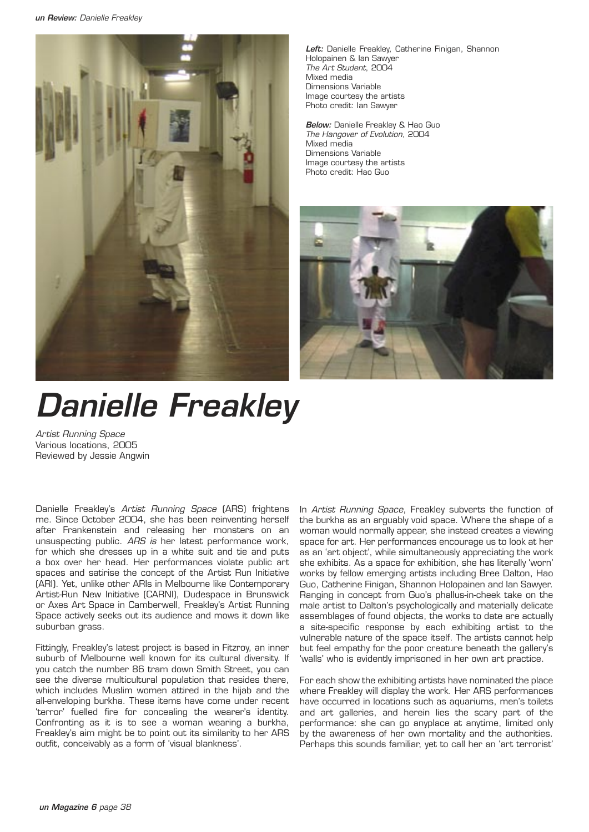

*Left:* Danielle Freakley, Catherine Finigan, Shannon Holopainen & Ian Sawyer *The Art Student*, 2004 Mixed media Dimensions Variable Image courtesy the artists Photo credit: Ian Sawyer

*Below:* Danielle Freakley & Hao Guo *The Hangover of Evolution*, 2004 Mixed media Dimensions Variable Image courtesy the artists Photo credit: Hao Guo



## *Danielle Freakley*

*Artist Running Space* Various locations, 2005 Reviewed by Jessie Angwin

Danielle Freakley's *Artist Running Space* (ARS) frightens me. Since October 2004, she has been reinventing herself after Frankenstein and releasing her monsters on an unsuspecting public. *ARS is* her latest performance work, for which she dresses up in a white suit and tie and puts a box over her head. Her performances violate public art spaces and satirise the concept of the Artist Run Initiative (ARI). Yet, unlike other ARIs in Melbourne like Contemporary Artist-Run New Initiative (CARNI), Dudespace in Brunswick or Axes Art Space in Camberwell, Freakley's Artist Running Space actively seeks out its audience and mows it down like suburban grass.

Fittingly, Freakley's latest project is based in Fitzroy, an inner suburb of Melbourne well known for its cultural diversity. If you catch the number 86 tram down Smith Street, you can see the diverse multicultural population that resides there, which includes Muslim women attired in the hijab and the all-enveloping burkha. These items have come under recent 'terror' fuelled fire for concealing the wearer's identity. Confronting as it is to see a woman wearing a burkha, Freakley's aim might be to point out its similarity to her ARS outfit, conceivably as a form of 'visual blankness'.

In *Artist Running Space*, Freakley subverts the function of the burkha as an arguably void space. Where the shape of a woman would normally appear, she instead creates a viewing space for art. Her performances encourage us to look at her as an 'art object', while simultaneously appreciating the work she exhibits. As a space for exhibition, she has literally 'worn' works by fellow emerging artists including Bree Dalton, Hao Guo, Catherine Finigan, Shannon Holopainen and Ian Sawyer. Ranging in concept from Guo's phallus-in-cheek take on the male artist to Dalton's psychologically and materially delicate assemblages of found objects, the works to date are actually a site-specific response by each exhibiting artist to the vulnerable nature of the space itself. The artists cannot help but feel empathy for the poor creature beneath the gallery's 'walls' who is evidently imprisoned in her own art practice.

For each show the exhibiting artists have nominated the place where Freakley will display the work. Her ARS performances have occurred in locations such as aquariums, men's toilets and art galleries, and herein lies the scary part of the performance: she can go anyplace at anytime, limited only by the awareness of her own mortality and the authorities. Perhaps this sounds familiar, yet to call her an 'art terrorist'